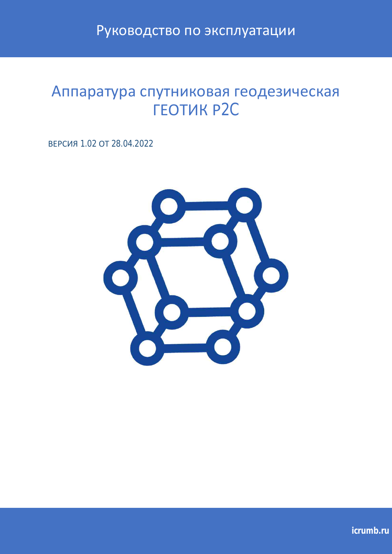Руководство по эксплуатации

# Аппаратура спутниковая геодезическая **FEOTUK P2C**

ВЕРСИЯ 1.02 ОТ 28.04.2022

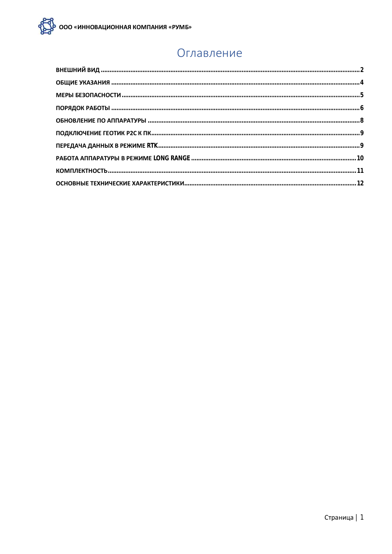#### Оглавление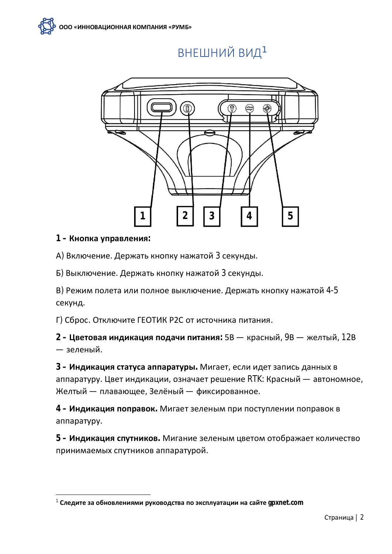# ВНЕШНИЙ ВИД<sup>1</sup>



#### 1 - Кнопка управления:

А) Включение. Держать кнопку нажатой 3 секунды.

Б) Выключение. Держать кнопку нажатой 3 секунды.

В) Режим полета или полное выключение. Держать кнопку нажатой 4-5 секунд.

Г) Сброс. Отключите ГЕОТИК Р2С от источника питания.

2 - Цветовая индикация подачи питания: 5В - красный, 9В - желтый, 12В — зеленый.

3 - Индикация статуса аппаратуры. Мигает, если идет запись данных в аппаратуру. Цвет индикации, означает решение RTK: Красный — автономное, Желтый — плавающее, Зелёный — фиксированное.

4 - Индикация поправок. Мигает зеленым при поступлении поправок в аппаратуру.

5 - Индикация спутников. Мигание зеленым цветом отображает количество принимаемых спутников аппаратурой.

 $^1$  Следите за обновлениями руководства по эксплуатации на сайте  $q$ pxnet.com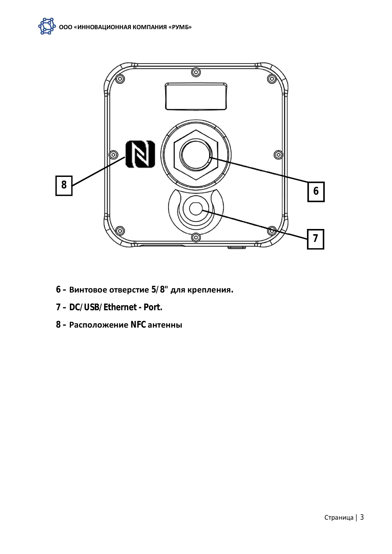

- **6 ʦ̨̨̨̛̛̦̯̖̯̖̬̭̯̖̏̏ 5/8" ̡̛̣̬̖̪̣̖̦̔́́.**
- **7 DC/USB/Ethernet Port.**
- $8 -$  Расположение NFC антенны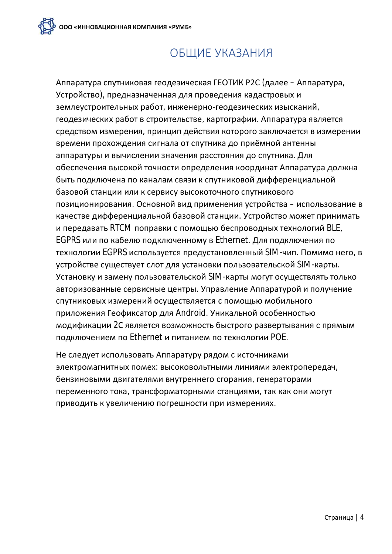# ОБЩИЕ УКАЗАНИЯ

Аппаратура спутниковая геодезическая ГЕОТИК Р2С (далее - Аппаратура, Устройство), предназначенная для проведения кадастровых и землеустроительных работ, инженерно-геодезических изысканий, геодезических работ в строительстве, картографии. Аппаратура является средством измерения, принцип действия которого заключается в измерении времени прохождения сигнала от спутника до приёмной антенны аппаратуры и вычислении значения расстояния до спутника. Для обеспечения высокой точности определения координат Аппаратура должна быть подключена по каналам связи к спутниковой дифференциальной базовой станции или к сервису высокоточного спутникового позиционирования. Основной вид применения устройства - использование в качестве дифференциальной базовой станции. Устройство может принимать и передавать RTCM поправки с помощью беспроводных технологий BLE, EGPRS или по кабелю подключенному в Ethernet. Для подключения по технологии EGPRS используется предустановленный SIM-чип. Помимо него, в устройстве существует слот для установки пользовательской SIM-карты. Установку и замену пользовательской SIM-карты могут осуществлять только авторизованные сервисные центры. Управление Аппаратурой и получение спутниковых измерений осуществляется с помощью мобильного приложения Геофиксатор для Android. Уникальной особенностью модификации 2С является возможность быстрого развертывания с прямым подключением по Ethernet и питанием по технологии POE.

Не следует использовать Аппаратуру рядом с источниками электромагнитных помех: высоковольтными линиями электропередач, бензиновыми двигателями внутреннего сгорания, генераторами переменного тока, трансформаторными станциями, так как они могут приводить к увеличению погрешности при измерениях.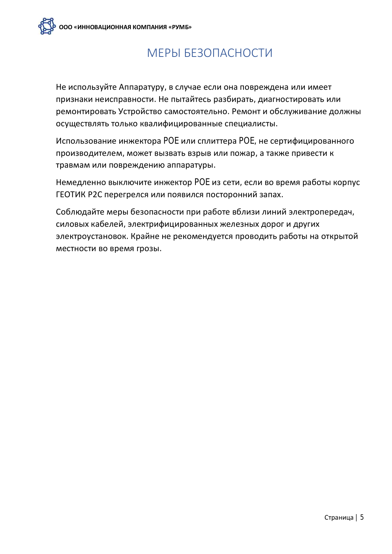

# МЕРЫ БЕЗОПАСНОСТИ

Не используйте Аппаратуру, в случае если она повреждена или имеет признаки неисправности. Не пытайтесь разбирать, диагностировать или ремонтировать Устройство самостоятельно. Ремонт и обслуживание должны осуществлять только квалифицированные специалисты.

Использование инжектора РОЕ или сплиттера РОЕ, не сертифицированного производителем, может вызвать взрыв или пожар, а также привести к травмам или повреждению аппаратуры.

Немедленно выключите инжектор РОЕ из сети, если во время работы корпус ГЕОТИК Р2С перегрелся или появился посторонний запах.

Соблюдайте меры безопасности при работе вблизи линий электропередач, силовых кабелей, электрифицированных железных дорог и других электроустановок. Крайне не рекомендуется проводить работы на открытой местности во время грозы.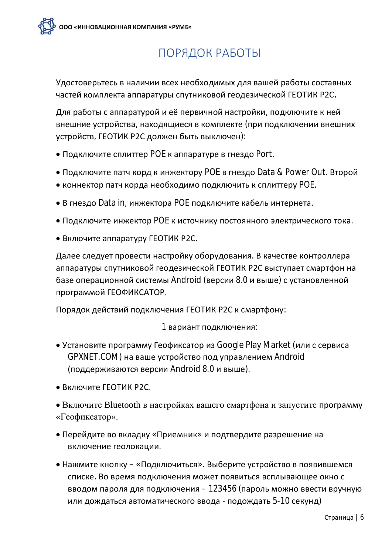

# ПОРЯДОК РАБОТЫ

Удостоверьтесь в наличии всех необходимых для вашей работы составных частей комплекта аппаратуры спутниковой геодезической ГЕОТИК Р2С.

Для работы с аппаратурой и её первичной настройки, подключите к ней внешние устройства, находящиеся в комплекте (при подключении внешних устройств, ГЕОТИК Р2С должен быть выключен):

- $\bullet$  Подключите сплиттер РОЕ к аппаратуре в гнездо Port.
- Подключите патч корд к инжектору POE в гнездо Data & Power Out. Второй
- коннектор патч корда необходимо подключить к сплиттеру РОЕ.
- В гнездо Data in, инжектора РОЕ подключите кабель интернета.
- Подключите инжектор РОЕ к источнику постоянного электрического тока.
- Включите аппаратуру ГЕОТИК Р2С.

Далее следует провести настройку оборудования. В качестве контроллера аппаратуры спутниковой геодезической ГЕОТИК Р2С выступает смартфон на базе операционной системы Android (версии 8.0 и выше) с установленной программой ГЕОФИКСАТОР.

Порядок действий подключения ГЕОТИК Р2С к смартфону:

1 вариант подключения:

- Установите программу Геофиксатор из Google Play Market (или с сервиса GPXNET.COM) на ваше устройство под управлением Android (поддерживаются версии Android 8.0 и выше).
- Включите ГЕОТИК Р2С.
- Включите Bluetooth в настройках вашего смартфона и запустите программу «Геофиксатор».
- Перейдите во вкладку «Приемник» и подтвердите разрешение на включение геолокации.
- Нажмите кнопку «Подключиться». Выберите устройство в появившемся списке. Во время подключения может появиться всплывающее окно с вводом пароля для подключения - 123456 (пароль можно ввести вручную или дождаться автоматического ввода - подождать 5-10 секунд)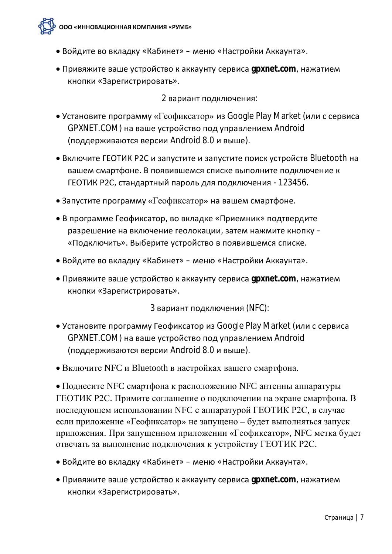- Войдите во вкладку «Кабинет» меню «Настройки Аккаунта».
- Привяжите ваше устройство к аккаунту сервиса gpxnet.com, нажатием кнопки «Зарегистрировать».

2 вариант подключения:

- Установите программу «Геофиксатор» из Google Play Market (или с сервиса GPXNET.COM) на ваше устройство под управлением Android (поддерживаются версии Android 8.0 и выше).
- Включите ГЕОТИК Р2С и запустите и запустите поиск устройств Bluetooth на вашем смартфоне. В появившемся списке выполните подключение к ГЕОТИК Р2С, стандартный пароль для подключения - 123456.
- $\bullet$  Запустите программу «Геофиксатор» на вашем смартфоне.
- В программе Геофиксатор, во вкладке «Приемник» подтвердите разрешение на включение геолокации, затем нажмите кнопку – «Подключить». Выберите устройство в появившемся списке.
- Войдите во вкладку «Кабинет» меню «Настройки Аккаунта».
- Привяжите ваше устройство к аккаунту сервиса qpxnet.com, нажатием кнопки «Зарегистрировать».

3 вариант подключения (NFC):

- Установите программу Геофиксатор из Google Play Market (или с сервиса GPXNET.COM) на ваше устройство под управлением Android (поддерживаются версии Android 8.0 и выше).
- Включите NFC и Bluetooth в настройках вашего смартфона.

• Поднесите NFC смартфона к расположению NFC антенны аппаратуры ГЕОТИК Р2С. Примите соглашение о подключении на экране смартфона. В последующем использовании NFC с аппаратурой ГЕОТИК Р2С, в случае если приложение «Геофиксатор» не запущено – будет выполняться запуск приложения. При запущенном приложении «Геофиксатор», NFC метка будет отвечать за выполнение подключения к устройству ГЕОТИК Р2С.

- Войдите во вкладку «Кабинет» меню «Настройки Аккаунта».
- Привяжите ваше устройство к аккаунту сервиса gpxnet.com, нажатием кнопки «Зарегистрировать».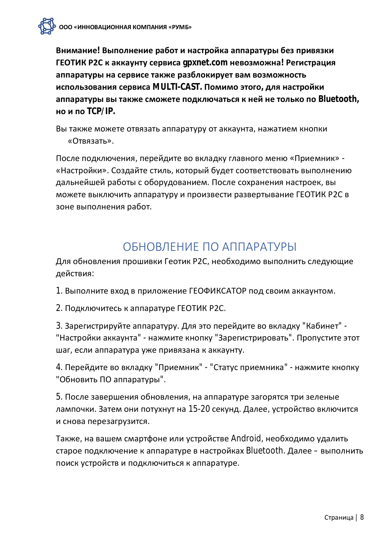Внимание! Выполнение работ и настройка аппаратуры без привязки ГЕОТИК Р2С к аккаунту сервиса *gpxnet.com* невозможна! Регистрация аппаратуры на сервисе также разблокирует вам возможность использования сервиса MULTI-CAST. Помимо этого, для настройки аппаратуры вы также сможете подключаться к ней не только по Bluetooth, но и по  $TCP/IP$ .

Вы также можете отвязать аппаратуру от аккаунта, нажатием кнопки «Отвязать».

После подключения, перейдите во вкладку главного меню «Приемник» -«Настройки». Создайте стиль, который будет соответствовать выполнению дальнейшей работы с оборудованием. После сохранения настроек, вы можете выключить аппаратуру и произвести развертывание ГЕОТИК Р2С в зоне выполнения работ.

### ОБНОВЛЕНИЕ ПО АППАРАТУРЫ

Для обновления прошивки Геотик Р2С, необходимо выполнить следующие действия:

1. Выполните вход в приложение ГЕОФИКСАТОР под своим аккаунтом.

2. Подключитесь к аппаратуре ГЕОТИК Р2С.

3. Зарегистрируйте аппаратуру. Для это перейдите во вкладку "Кабинет" -"Настройки аккаунта" - нажмите кнопку "Зарегистрировать". Пропустите этот шаг, если аппаратура уже привязана к аккаунту.

4. Перейдите во вкладку "Приемник" - "Статус приемника" - нажмите кнопку "Обновить ПО аппаратуры".

5. После завершения обновления, на аппаратуре загорятся три зеленые лампочки. Затем они потухнут на 15-20 секунд. Далее, устройство включится и снова перезагрузится.

Также, на вашем смартфоне или устройстве Android, необходимо удалить старое подключение к аппаратуре в настройках Bluetooth. Далее – выполнить поиск устройств и подключиться к аппаратуре.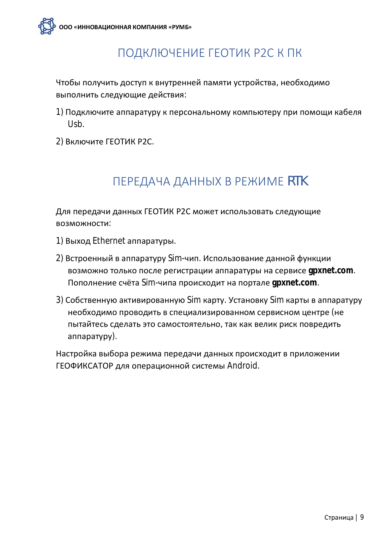### ПОДКЛЮЧЕНИЕ ГЕОТИК Р2С К ПК

Чтобы получить доступ к внутренней памяти устройства, необходимо выполнить следующие действия:

- 1) Подключите аппаратуру к персональному компьютеру при помощи кабеля Usb.
- 2) Включите ГЕОТИК Р2С.

## **ПЕРЕДАЧА ДАННЫХ В РЕЖИМЕ RTK**

Для передачи данных ГЕОТИК Р2С может использовать следующие возможности:

- 1) Выход Ethernet аппаратуры.
- 2) Встроенный в аппаратуру Sim-чип. Использование данной функции возможно только после регистрации аппаратуры на сервисе gpxnet.com. Пополнение счёта Sim-чипа происходит на портале gpxnet.com.
- 3) Собственную активированную Sim карту. Установку Sim карты в аппаратуру необходимо проводить в специализированном сервисном центре (не пытайтесь сделать это самостоятельно, так как велик риск повредить аппаратуру).

Настройка выбора режима передачи данных происходит в приложении ГЕОФИКСАТОР для операционной системы Android.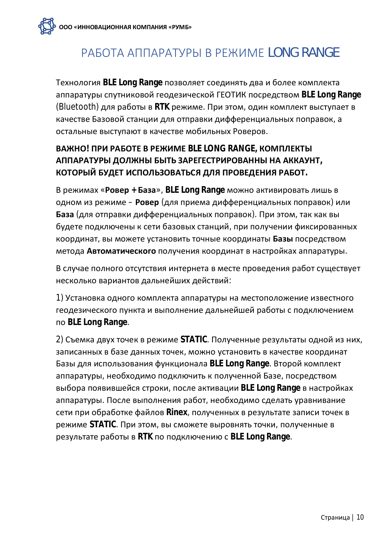# РАБОТА АППАРАТУРЫ В РЕЖИМЕ LONG RANGE

Технология BLE Long Range позволяет соединять два и более комплекта аппаратуры спутниковой геодезической ГЕОТИК посредством BLE Long Range (Bluetooth) для работы в RTK режиме. При этом, один комплект выступает в качестве Базовой станции для отправки дифференциальных поправок, а остальные выступают в качестве мобильных Роверов.

#### **ВАЖНО! ПРИ РАБОТЕ В РЕЖИМЕ BLE LONG RANGE, КОМПЛЕКТЫ** АППАРАТУРЫ ДОЛЖНЫ БЫТЬ ЗАРЕГЕСТРИРОВАННЫ НА АККАУНТ, КОТОРЫЙ БУДЕТ ИСПОЛЬЗОВАТЬСЯ ДЛЯ ПРОВЕДЕНИЯ РАБОТ.

В режимах «**Ровер** + **База**», BLE Long Range можно активировать лишь в одном из режиме - Ровер (для приема дифференциальных поправок) или База (для отправки дифференциальных поправок). При этом, так как вы будете подключены к сети базовых станций, при получении фиксированных координат, вы можете установить точные координаты Базы посредством метода Автоматического получения координат в настройках аппаратуры.

В случае полного отсутствия интернета в месте проведения работ существует несколько вариантов дальнейших действий:

1) Установка одного комплекта аппаратуры на местоположение известного геодезического пункта и выполнение дальнейшей работы с подключением по BLE Long Range.

2) Съемка двух точек в режиме STATIC. Полученные результаты одной из них, записанных в базе данных точек, можно установить в качестве координат Базы для использования функционала BLE Long Range. Второй комплект аппаратуры, необходимо подключить к полученной Базе, посредством выбора появившейся строки, после активации BLE Long Range в настройках аппаратуры. После выполнения работ, необходимо сделать уравнивание сети при обработке файлов Rinex, полученных в результате записи точек в режиме STATIC. При этом, вы сможете выровнять точки, полученные в результате работы в RTK по подключению с BLE Long Range.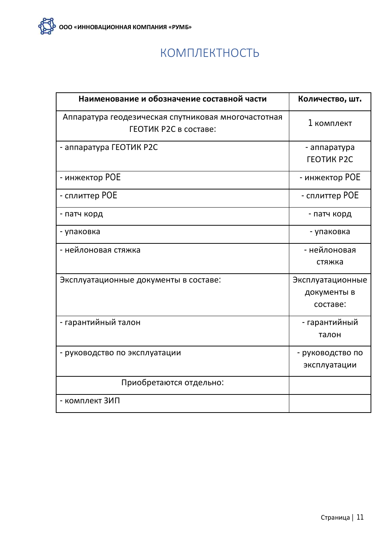

### КОМПЛЕКТНОСТЬ

| Наименование и обозначение составной части                                   | Количество, шт.                             |
|------------------------------------------------------------------------------|---------------------------------------------|
| Аппаратура геодезическая спутниковая многочастотная<br>ГЕОТИК Р2С в составе: | 1 комплект                                  |
| - аппаратура ГЕОТИК Р2С                                                      | - аппаратура<br><b>FEOTUK P2C</b>           |
| - инжектор РОЕ                                                               | - инжектор РОЕ                              |
| - сплиттер РОЕ                                                               | - сплиттер РОЕ                              |
| - патч корд                                                                  | - патч корд                                 |
| - упаковка                                                                   | - упаковка                                  |
| - нейлоновая стяжка                                                          | - нейлоновая<br>стяжка                      |
| Эксплуатационные документы в составе:                                        | Эксплуатационные<br>документы в<br>составе: |
| - гарантийный талон                                                          | - гарантийный<br>талон                      |
| - руководство по эксплуатации                                                | - руководство по<br>эксплуатации            |
| Приобретаются отдельно:                                                      |                                             |
| - комплект ЗИП                                                               |                                             |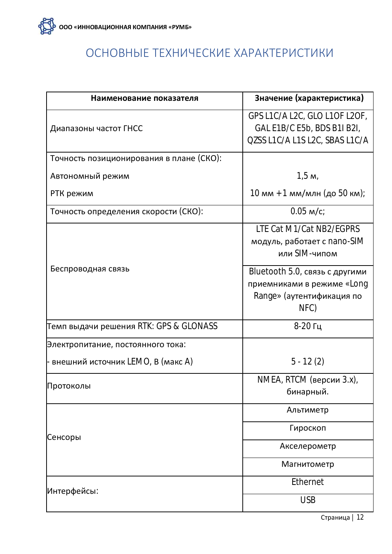## ОСНОВНЫЕ ТЕХНИЧЕСКИЕ ХАРАКТЕРИСТИКИ

| Наименование показателя                  | Значение (характеристика)                                                                                                                                                     |
|------------------------------------------|-------------------------------------------------------------------------------------------------------------------------------------------------------------------------------|
| Диапазоны частот ГНСС                    | GPS L1C/A L2C, GLO L1OF L2OF,<br>GAL E1B/C E5b, BDS B1I B2I,<br>QZSS L1C/A L1S L2C, SBAS L1C/A                                                                                |
| Точность позиционирования в плане (СКО): |                                                                                                                                                                               |
| Автономный режим                         | 1,5 m,                                                                                                                                                                        |
| РТК режим                                | 10 мм + 1 мм/млн (до 50 км);                                                                                                                                                  |
| Точность определения скорости (СКО):     | $0.05$ m/c;                                                                                                                                                                   |
| Беспроводная связь                       | LTE Cat M1/Cat NB2/EGPRS<br>модуль, работает с nano-SIM<br>или SIM-чипом<br>Bluetooth 5.0, связь с другими<br>приемниками в режиме «Long<br>Range» (аутентификация по<br>NFC) |
| Темп выдачи решения RTK: GPS & GLONASS   | 8-20 Гц                                                                                                                                                                       |
| Электропитание, постоянного тока:        |                                                                                                                                                                               |
| - внешний источник LEMO, В (макс A)      | $5 - 12(2)$                                                                                                                                                                   |
| Протоколы                                | NMEA, RTCM (версии 3.х),<br>бинарный.                                                                                                                                         |
| Сенсоры                                  | Альтиметр                                                                                                                                                                     |
|                                          | Гироскоп                                                                                                                                                                      |
|                                          | Акселерометр                                                                                                                                                                  |
|                                          | Магнитометр                                                                                                                                                                   |
| Интерфейсы:                              | Ethernet                                                                                                                                                                      |
|                                          | <b>USB</b>                                                                                                                                                                    |